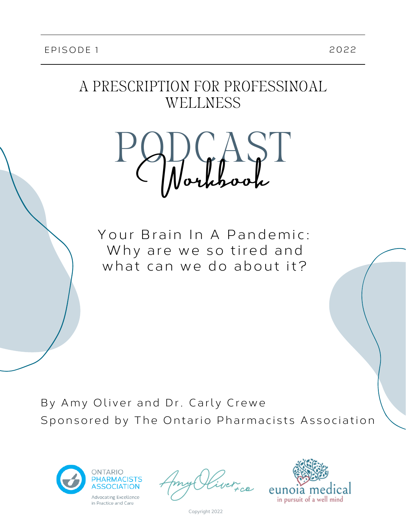## A PRESCRIPTION FOR PROFESSINOAL WELLNESS



Your Brain In A Pandemic: Why are we so tired and what can we do about it?

By Amy Oliver and Dr. Carly Crewe Sponsored by The Ontario Pharmacists Association





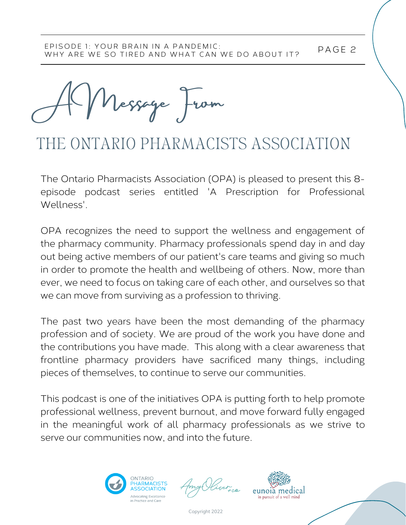A Message From

# THE ONTARIO PHARMACISTS ASSOCIATION

The Ontario Pharmacists Association (OPA) is pleased to present this 8 episode podcast series entitled 'A Prescription for Professional Wellness'.

OPA recognizes the need to support the wellness and engagement of the pharmacy community. Pharmacy professionals spend day in and day out being active members of our patient's care teams and giving so much in order to promote the health and wellbeing of others. Now, more than ever, we need to focus on taking care of each other, and ourselves so that we can move from surviving as a profession to thriving.

The past two years have been the most demanding of the pharmacy profession and of society. We are proud of the work you have done and the contributions you have made. This along with a clear awareness that frontline pharmacy providers have sacrificed many things, including pieces of themselves, to continue to serve our communities.

This podcast is one of the initiatives OPA is putting forth to help promote professional wellness, prevent burnout, and move forward fully engaged in the meaningful work of all pharmacy professionals as we strive to serve our communities now, and into the future.



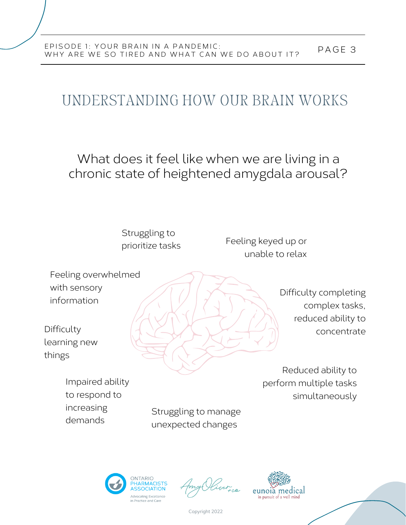# UNDERSTANDING HOW OUR BRAIN WORKS

What does it feel like when we are living in a chronic state of heightened amygdala arousal?



complex tasks, reduced ability to concentrate

Reduced ability to perform multiple tasks simultaneously

Impaired ability to respond to increasing demands

Difficulty

things

Struggling to manage unexpected changes



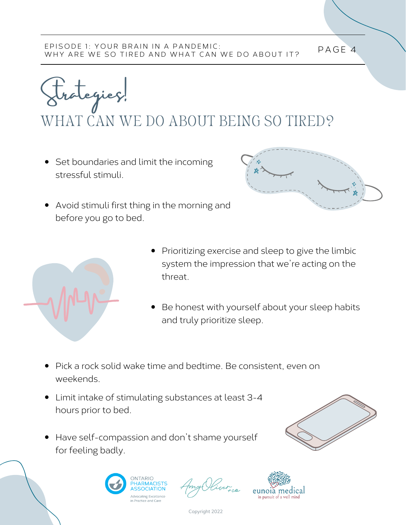rategies!

WHAT CAN WE DO ABOUT BEING SO TIRED?

• Set boundaries and limit the incoming stressful stimuli.



Avoid stimuli first thing in the morning and before you go to bed.



- Prioritizing exercise and sleep to give the limbic system the impression that we're acting on the threat.
- Be honest with yourself about your sleep habits and truly prioritize sleep.
- Pick a rock solid wake time and bedtime. Be consistent, even on weekends.
- Limit intake of stimulating substances at least 3-4 hours prior to bed.
- Have self-compassion and don't shame yourself for feeling badly.



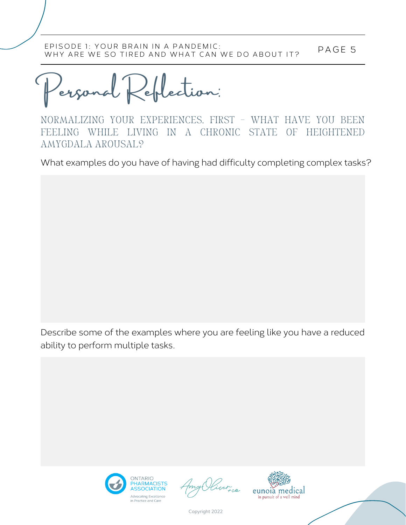P AGE 5 EPISODE 1: YOUR BRAIN IN A PANDEMIC: WHY ARE WE SO TIRED AND WHAT CAN WE DO ABOUT IT?

Personal Reflection:

NORMALIZING YOUR EXPERIENCES. FIRST – WHAT HAVE YOU BEEN FEELING WHILE LIVING IN A CHRONIC STATE OF HEIGHTENED AMYGDALA AROUSAL?

What examples do you have of having had difficulty completing complex tasks?

Describe some of the examples where you are feeling like you have a reduced ability to perform multiple tasks.



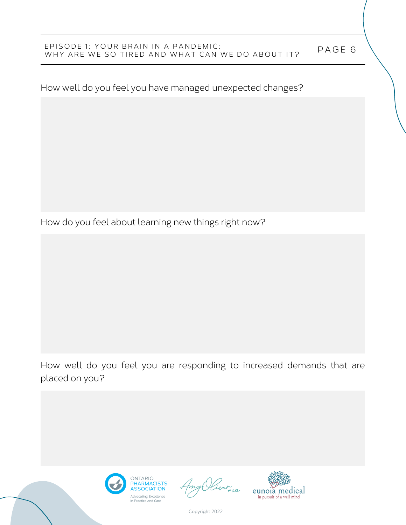### P AGE 6 EPISODE 1: YOUR BRAIN IN A PANDEMIC: WHY ARE WE SO TIRED AND WHAT CAN WE DO ABOUT IT?

How well do you feel you have managed unexpected changes?

How do you feel about learning new things right now?

How well do you feel you are responding to increased demands that are placed on you?



iver ca

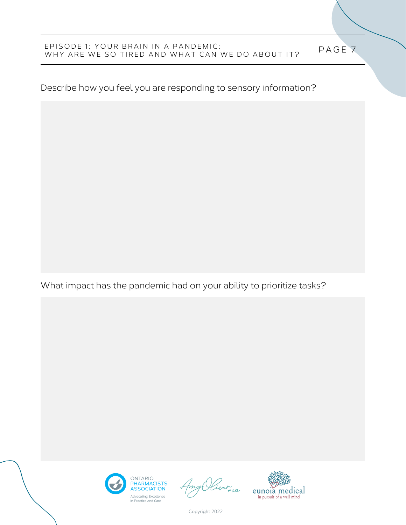#### P AGE 7 EPISODE 1: YOUR BRAIN IN A PANDEMIC: WHY ARE WE SO TIRED AND WHAT CAN WE DO ABOUT IT?

Describe how you feel you are responding to sensory information?

What impact has the pandemic had on your ability to prioritize tasks?



Quer<sub>ica</sub>

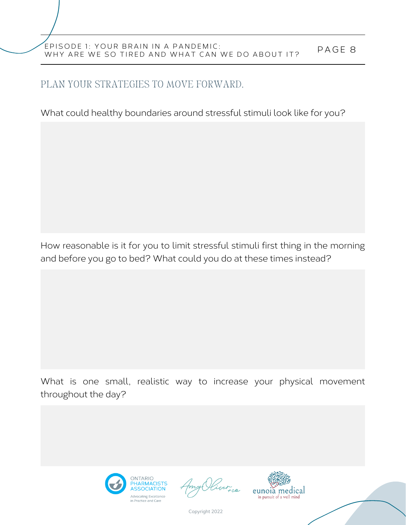### P AGE 8 EPISODE 1: YOUR BRAIN IN A PANDEMIC: WHY ARE WE SO TIRED AND WHAT CAN WE DO ABOUT IT?

### PLAN YOUR STRATEGIES TO MOVE FORWARD.

What could healthy boundaries around stressful stimuli look like for you?

How reasonable is it for you to limit stressful stimuli first thing in the morning and before you go to bed? What could you do at these times instead?

What is one small, realistic way to increase your physical movement throughout the day?



ver ce

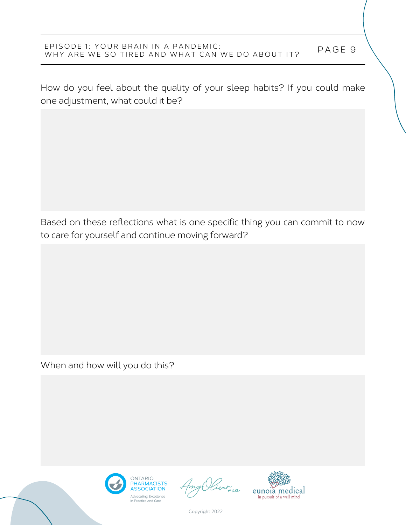### P AGE 9 EPISODE 1: YOUR BRAIN IN A PANDEMIC: WHY ARE WE SO TIRED AND WHAT CAN WE DO ABOUT IT?

How do you feel about the quality of your sleep habits? If you could make one adjustment, what could it be?

Based on these reflections what is one specific thing you can commit to now to care for yourself and continue moving forward?

When and how will you do this?



ver ce

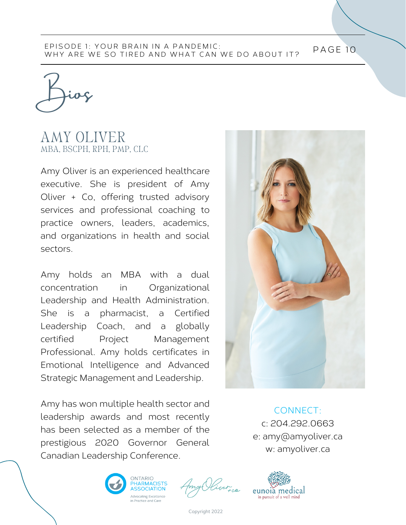#### PAGE 10 EPISODE 1: YOUR BRAIN IN A PANDEMIC: WHY ARE WE SO TIRED AND WHAT CAN WE DO ABOUT IT?

Bios

### AMY OLIVER MBA, BSCPH, RPH, PMP, CLC

Amy Oliver is an experienced healthcare executive. She is president of Amy Oliver + Co, offering trusted advisory services and professional coaching to practice owners, leaders, academics, and organizations in health and social sectors.

Amy holds an MBA with a dual concentration in Organizational Leadership and Health Administration. She is a pharmacist, a Certified Leadership Coach, and a globally certified Project Management Professional. Amy holds certificates in Emotional Intelligence and Advanced Strategic Management and Leadership.

Amy has won multiple health sector and leadership awards and most recently has been selected as a member of the prestigious 2020 Governor General Canadian Leadership Conference.



CONNECT: c: 204.292.0663 e: amy@amyoliver.ca w: amyoliver.ca